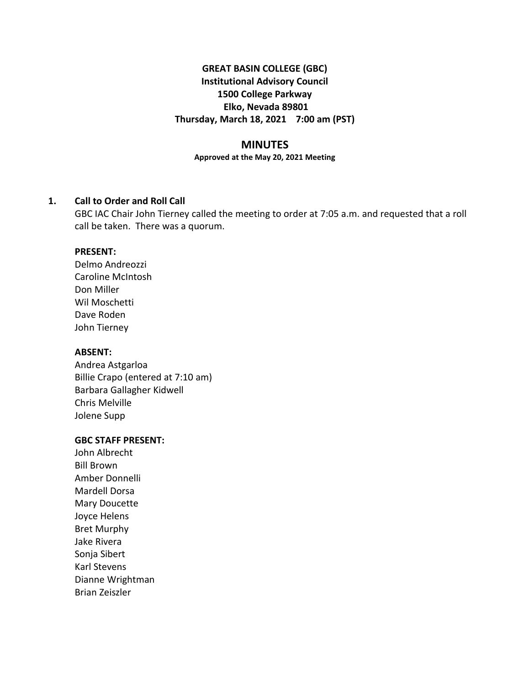# **GREAT BASIN COLLEGE (GBC) Institutional Advisory Council 1500 College Parkway Elko, Nevada 89801 Thursday, March 18, 2021 7:00 am (PST)**

### **MINUTES**

**Approved at the May 20, 2021 Meeting**

### **1. Call to Order and Roll Call**

GBC IAC Chair John Tierney called the meeting to order at 7:05 a.m. and requested that a roll call be taken. There was a quorum.

#### **PRESENT:**

Delmo Andreozzi Caroline McIntosh Don Miller Wil Moschetti Dave Roden John Tierney

### **ABSENT:**

Andrea Astgarloa Billie Crapo (entered at 7:10 am) Barbara Gallagher Kidwell Chris Melville Jolene Supp

#### **GBC STAFF PRESENT:**

John Albrecht Bill Brown Amber Donnelli Mardell Dorsa Mary Doucette Joyce Helens Bret Murphy Jake Rivera Sonja Sibert Karl Stevens Dianne Wrightman Brian Zeiszler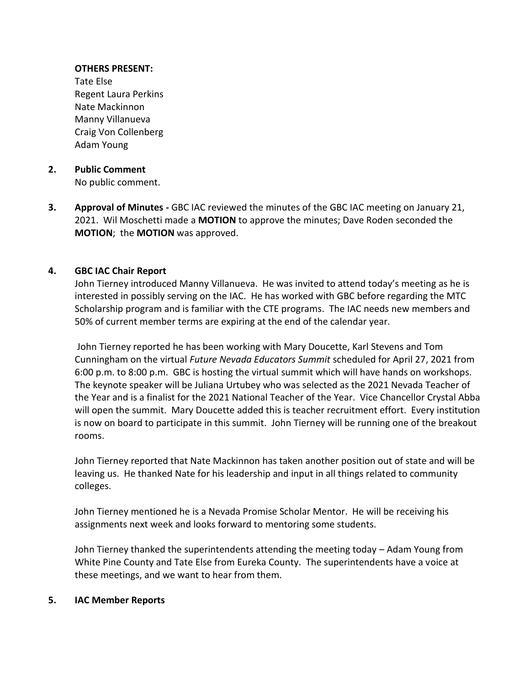### **OTHERS PRESENT:**

Tate Else Regent Laura Perkins Nate Mackinnon Manny Villanueva Craig Von Collenberg Adam Young

### **2. Public Comment**  No public comment.

**3. Approval of Minutes -** GBC IAC reviewed the minutes of the GBC IAC meeting on January 21, 2021. Wil Moschetti made a **MOTION** to approve the minutes; Dave Roden seconded the **MOTION**; the **MOTION** was approved.

# **4. GBC IAC Chair Report**

John Tierney introduced Manny Villanueva. He was invited to attend today's meeting as he is interested in possibly serving on the IAC. He has worked with GBC before regarding the MTC Scholarship program and is familiar with the CTE programs. The IAC needs new members and 50% of current member terms are expiring at the end of the calendar year.

John Tierney reported he has been working with Mary Doucette, Karl Stevens and Tom Cunningham on the virtual *Future Nevada Educators Summit* scheduled for April 27, 2021 from 6:00 p.m. to 8:00 p.m. GBC is hosting the virtual summit which will have hands on workshops. The keynote speaker will be Juliana Urtubey who was selected as the 2021 Nevada Teacher of the Year and is a finalist for the 2021 National Teacher of the Year. Vice Chancellor Crystal Abba will open the summit. Mary Doucette added this is teacher recruitment effort. Every institution is now on board to participate in this summit. John Tierney will be running one of the breakout rooms.

John Tierney reported that Nate Mackinnon has taken another position out of state and will be leaving us. He thanked Nate for his leadership and input in all things related to community colleges.

John Tierney mentioned he is a Nevada Promise Scholar Mentor. He will be receiving his assignments next week and looks forward to mentoring some students.

John Tierney thanked the superintendents attending the meeting today – Adam Young from White Pine County and Tate Else from Eureka County. The superintendents have a voice at these meetings, and we want to hear from them.

#### **5. IAC Member Reports**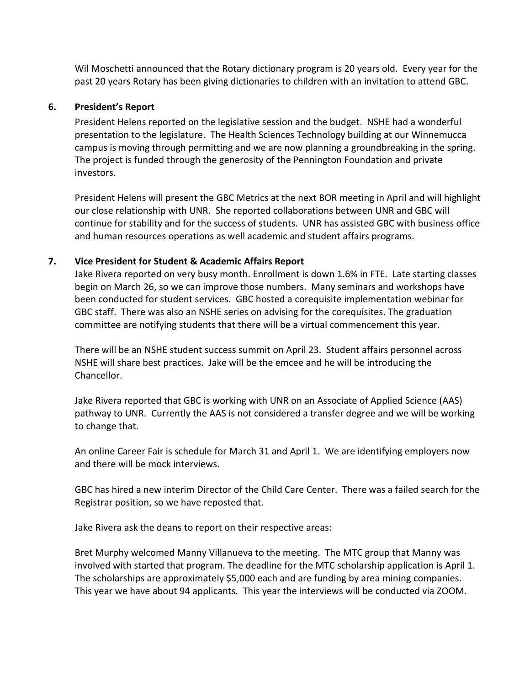Wil Moschetti announced that the Rotary dictionary program is 20 years old. Every year for the past 20 years Rotary has been giving dictionaries to children with an invitation to attend GBC.

## **6. President's Report**

President Helens reported on the legislative session and the budget. NSHE had a wonderful presentation to the legislature. The Health Sciences Technology building at our Winnemucca campus is moving through permitting and we are now planning a groundbreaking in the spring. The project is funded through the generosity of the Pennington Foundation and private investors.

President Helens will present the GBC Metrics at the next BOR meeting in April and will highlight our close relationship with UNR. She reported collaborations between UNR and GBC will continue for stability and for the success of students. UNR has assisted GBC with business office and human resources operations as well academic and student affairs programs.

# **7. Vice President for Student & Academic Affairs Report**

Jake Rivera reported on very busy month. Enrollment is down 1.6% in FTE. Late starting classes begin on March 26, so we can improve those numbers. Many seminars and workshops have been conducted for student services. GBC hosted a corequisite implementation webinar for GBC staff. There was also an NSHE series on advising for the corequisites. The graduation committee are notifying students that there will be a virtual commencement this year.

There will be an NSHE student success summit on April 23. Student affairs personnel across NSHE will share best practices. Jake will be the emcee and he will be introducing the Chancellor.

Jake Rivera reported that GBC is working with UNR on an Associate of Applied Science (AAS) pathway to UNR. Currently the AAS is not considered a transfer degree and we will be working to change that.

An online Career Fair is schedule for March 31 and April 1. We are identifying employers now and there will be mock interviews.

GBC has hired a new interim Director of the Child Care Center. There was a failed search for the Registrar position, so we have reposted that.

Jake Rivera ask the deans to report on their respective areas:

Bret Murphy welcomed Manny Villanueva to the meeting. The MTC group that Manny was involved with started that program. The deadline for the MTC scholarship application is April 1. The scholarships are approximately \$5,000 each and are funding by area mining companies. This year we have about 94 applicants. This year the interviews will be conducted via ZOOM.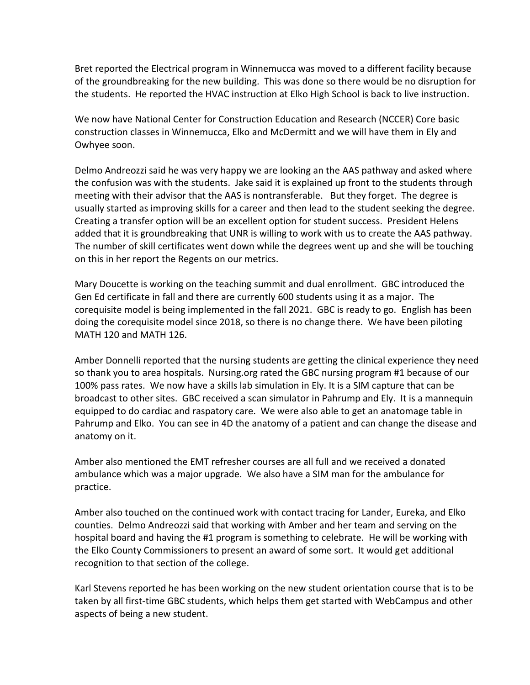Bret reported the Electrical program in Winnemucca was moved to a different facility because of the groundbreaking for the new building. This was done so there would be no disruption for the students. He reported the HVAC instruction at Elko High School is back to live instruction.

We now have National Center for Construction Education and Research (NCCER) Core basic construction classes in Winnemucca, Elko and McDermitt and we will have them in Ely and Owhyee soon.

Delmo Andreozzi said he was very happy we are looking an the AAS pathway and asked where the confusion was with the students. Jake said it is explained up front to the students through meeting with their advisor that the AAS is nontransferable. But they forget. The degree is usually started as improving skills for a career and then lead to the student seeking the degree. Creating a transfer option will be an excellent option for student success. President Helens added that it is groundbreaking that UNR is willing to work with us to create the AAS pathway. The number of skill certificates went down while the degrees went up and she will be touching on this in her report the Regents on our metrics.

Mary Doucette is working on the teaching summit and dual enrollment. GBC introduced the Gen Ed certificate in fall and there are currently 600 students using it as a major. The corequisite model is being implemented in the fall 2021. GBC is ready to go. English has been doing the corequisite model since 2018, so there is no change there. We have been piloting MATH 120 and MATH 126.

Amber Donnelli reported that the nursing students are getting the clinical experience they need so thank you to area hospitals. Nursing.org rated the GBC nursing program #1 because of our 100% pass rates. We now have a skills lab simulation in Ely. It is a SIM capture that can be broadcast to other sites. GBC received a scan simulator in Pahrump and Ely. It is a mannequin equipped to do cardiac and raspatory care. We were also able to get an anatomage table in Pahrump and Elko. You can see in 4D the anatomy of a patient and can change the disease and anatomy on it.

Amber also mentioned the EMT refresher courses are all full and we received a donated ambulance which was a major upgrade. We also have a SIM man for the ambulance for practice.

Amber also touched on the continued work with contact tracing for Lander, Eureka, and Elko counties. Delmo Andreozzi said that working with Amber and her team and serving on the hospital board and having the #1 program is something to celebrate. He will be working with the Elko County Commissioners to present an award of some sort. It would get additional recognition to that section of the college.

Karl Stevens reported he has been working on the new student orientation course that is to be taken by all first-time GBC students, which helps them get started with WebCampus and other aspects of being a new student.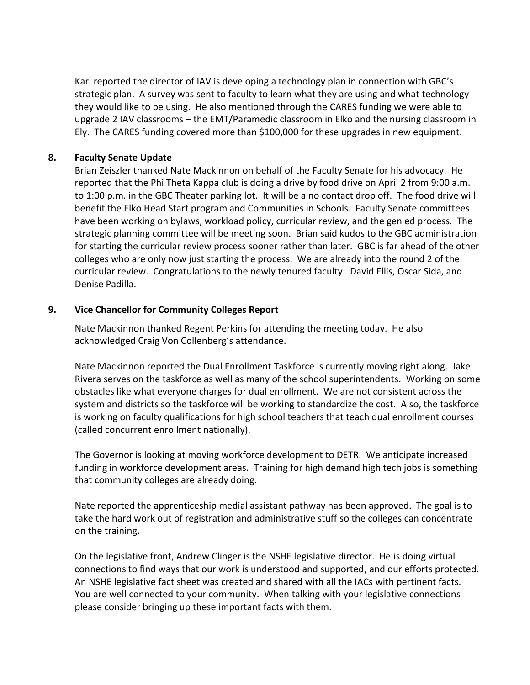Karl reported the director of IAV is developing a technology plan in connection with GBC's strategic plan. A survey was sent to faculty to learn what they are using and what technology they would like to be using. He also mentioned through the CARES funding we were able to upgrade 2 IAV classrooms – the EMT/Paramedic classroom in Elko and the nursing classroom in Ely. The CARES funding covered more than \$100,000 for these upgrades in new equipment.

# **8. Faculty Senate Update**

Brian Zeiszler thanked Nate Mackinnon on behalf of the Faculty Senate for his advocacy. He reported that the Phi Theta Kappa club is doing a drive by food drive on April 2 from 9:00 a.m. to 1:00 p.m. in the GBC Theater parking lot. It will be a no contact drop off. The food drive will benefit the Elko Head Start program and Communities in Schools. Faculty Senate committees have been working on bylaws, workload policy, curricular review, and the gen ed process. The strategic planning committee will be meeting soon. Brian said kudos to the GBC administration for starting the curricular review process sooner rather than later. GBC is far ahead of the other colleges who are only now just starting the process. We are already into the round 2 of the curricular review. Congratulations to the newly tenured faculty: David Ellis, Oscar Sida, and Denise Padilla.

# **9. Vice Chancellor for Community Colleges Report**

Nate Mackinnon thanked Regent Perkins for attending the meeting today. He also acknowledged Craig Von Collenberg's attendance.

Nate Mackinnon reported the Dual Enrollment Taskforce is currently moving right along. Jake Rivera serves on the taskforce as well as many of the school superintendents. Working on some obstacles like what everyone charges for dual enrollment. We are not consistent across the system and districts so the taskforce will be working to standardize the cost. Also, the taskforce is working on faculty qualifications for high school teachers that teach dual enrollment courses (called concurrent enrollment nationally).

The Governor is looking at moving workforce development to DETR. We anticipate increased funding in workforce development areas. Training for high demand high tech jobs is something that community colleges are already doing.

Nate reported the apprenticeship medial assistant pathway has been approved. The goal is to take the hard work out of registration and administrative stuff so the colleges can concentrate on the training.

On the legislative front, Andrew Clinger is the NSHE legislative director. He is doing virtual connections to find ways that our work is understood and supported, and our efforts protected. An NSHE legislative fact sheet was created and shared with all the IACs with pertinent facts. You are well connected to your community. When talking with your legislative connections please consider bringing up these important facts with them.